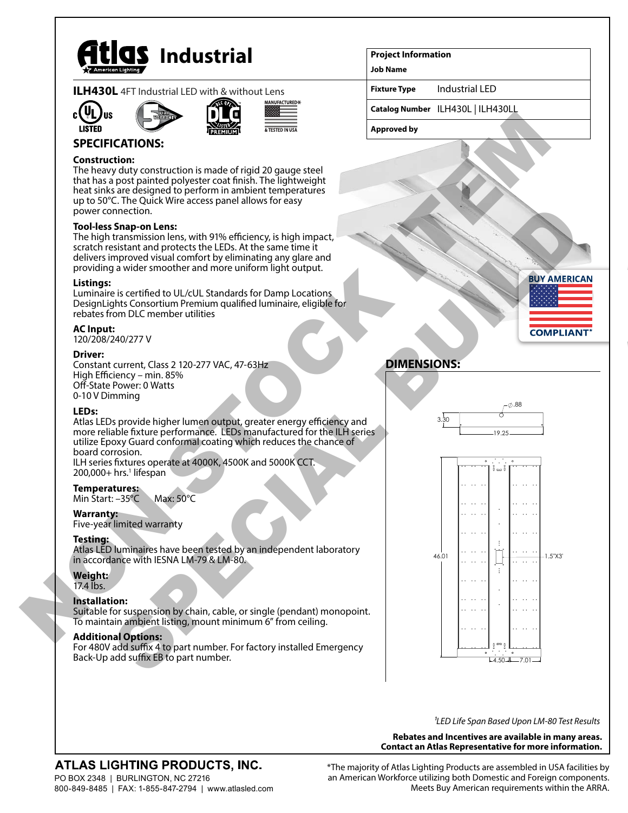

|  | <b>ILH430L</b> 4FT Industrial LED with & without Lens |  |
|--|-------------------------------------------------------|--|
|  |                                                       |  |









# **SPECIFICATIONS:**

## **Construction:**

The heavy duty construction is made of rigid 20 gauge steel that has a post painted polyester coat finish. The lightweight heat sinks are designed to perform in ambient temperatures up to 50°C. The Quick Wire access panel allows for easy power connection.

### **Tool-less Snap-on Lens:**

The high transmission lens, with 91% efficiency, is high impact, scratch resistant and protects the LEDs. At the same time it delivers improved visual comfort by eliminating any glare and providing a wider smoother and more uniform light output.

### **Listings:**

Luminaire is certified to UL/cUL Standards for Damp Locations DesignLights Consortium Premium qualified luminaire, eligible for rebates from DLC member utilities

### **AC Input:**

120/208/240/277 V

### **Driver:**

Constant current, Class 2 120-277 VAC, 47-63Hz High Efficiency – min. 85% Off-State Power: 0 Watts 0-10 V Dimming

### **LEDs:**

Atlas LEDs provide higher lumen output, greater energy efficiency and more reliable fixture performance. LEDs manufactured for the ILH series utilize Epoxy Guard conformal coating which reduces the chance of board corrosion. ILH series fixtures operate at 4000K, 4500K and 5000K CCT.

200,000+ hrs.<sup>1</sup> lifespan

# **Temperatures:**

Min Start: –35°C Max: 50°C

### **Warranty:**

Five-year limited warranty

### **Testing:**

Atlas LED luminaires have been tested by an independent laboratory in accordance with IESNA LM-79 & LM-80.

# **Weight:**

17.4 lbs.

### **Installation:**

Suitable for suspension by chain, cable, or single (pendant) monopoint. To maintain ambient listing, mount minimum 6" from ceiling.

### **Additional Options:**

For 480V add suffix 4 to part number. For factory installed Emergency Back-Up add suffix EB to part number.

### **Project Information**

**Job Name**

**Fixture Type** Industrial LED

**Catalog Number** ILH430L | ILH430LL

**Approved by**



# **DIMENSIONS:**





*1LED Life Span Based Upon LM-80 Test Results*

#### **Rebates and Incentives are available in many areas. Contact an Atlas Representative for more information.**

# **ATLAS LIGHTING PRODUCTS, INC.**

PO BOX 2348 | BURLINGTON, NC 27216 800-849-8485 | FAX: 1-855-847-2794 | www.atlasled.com \*The majority of Atlas Lighting Products are assembled in USA facilities by an American Workforce utilizing both Domestic and Foreign components. Meets Buy American requirements within the ARRA.